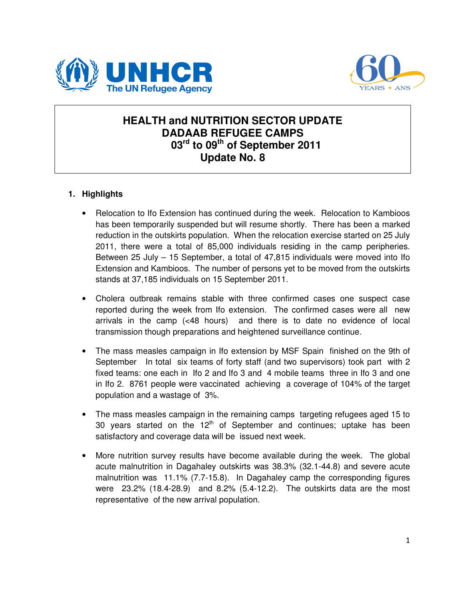



### **HEALTH and NUTRITION SECTOR UPDATE DADAAB REFUGEE CAMPS 03rd to 09th of September 2011 Update No. 8**

### **1. Highlights**

- Relocation to Ifo Extension has continued during the week. Relocation to Kambioos has been temporarily suspended but will resume shortly. There has been a marked reduction in the outskirts population. When the relocation exercise started on 25 July 2011, there were a total of 85,000 individuals residing in the camp peripheries. Between 25 July – 15 September, a total of 47,815 individuals were moved into Ifo Extension and Kambioos. The number of persons yet to be moved from the outskirts stands at 37,185 individuals on 15 September 2011.
- Cholera outbreak remains stable with three confirmed cases one suspect case reported during the week from Ifo extension. The confirmed cases were all new arrivals in the camp (<48 hours) and there is to date no evidence of local transmission though preparations and heightened surveillance continue.
- The mass measles campaign in Ifo extension by MSF Spain finished on the 9th of September In total six teams of forty staff (and two supervisors) took part with 2 fixed teams: one each in Ifo 2 and Ifo 3 and 4 mobile teams three in Ifo 3 and one in Ifo 2. 8761 people were vaccinated achieving a coverage of 104% of the target population and a wastage of 3%.
- The mass measles campaign in the remaining camps targeting refugees aged 15 to 30 years started on the  $12<sup>th</sup>$  of September and continues; uptake has been satisfactory and coverage data will be issued next week.
- More nutrition survey results have become available during the week. The global acute malnutrition in Dagahaley outskirts was 38.3% (32.1-44.8) and severe acute malnutrition was 11.1% (7.7-15.8). In Dagahaley camp the corresponding figures were 23.2% (18.4-28.9) and 8.2% (5.4-12.2). The outskirts data are the most representative of the new arrival population.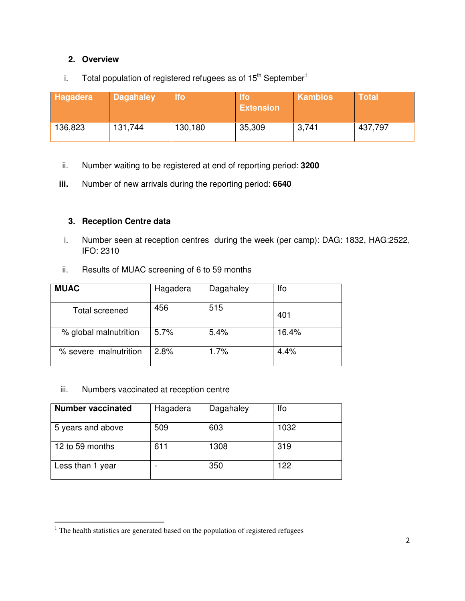#### **2. Overview**

### i. Total population of registered refugees as of  $15<sup>th</sup>$  September<sup>1</sup>

| Hagadera | <b>Dagahaley</b> | <b>Ifo</b> | lfo<br><b>Extension</b> | <b>Kambios</b> | <b>Total</b> |
|----------|------------------|------------|-------------------------|----------------|--------------|
| 136,823  | 131,744          | 130,180    | 35,309                  | 3,741          | 437,797      |

- ii. Number waiting to be registered at end of reporting period: **3200**
- **iii.** Number of new arrivals during the reporting period: **6640**

#### **3. Reception Centre data**

- i. Number seen at reception centres during the week (per camp): DAG: 1832, HAG:2522, IFO: 2310
- ii. Results of MUAC screening of 6 to 59 months

| <b>MUAC</b>           | Hagadera | Dagahaley | lfo   |
|-----------------------|----------|-----------|-------|
| Total screened        | 456      | 515       | 401   |
| % global malnutrition | 5.7%     | 5.4%      | 16.4% |
| % severe malnutrition | 2.8%     | 1.7%      | 4.4%  |

#### iii. Numbers vaccinated at reception centre

 $\overline{a}$ 

| <b>Number vaccinated</b> | Hagadera | Dagahaley | lfo  |
|--------------------------|----------|-----------|------|
| 5 years and above        | 509      | 603       | 1032 |
| 12 to 59 months          | 611      | 1308      | 319  |
| Less than 1 year         |          | 350       | 122  |

 $1$  The health statistics are generated based on the population of registered refugees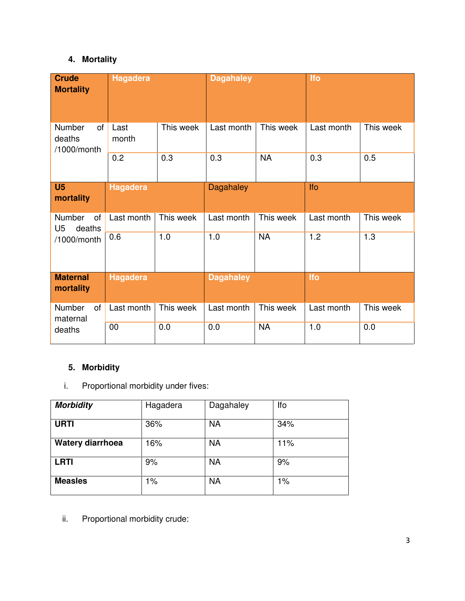# **4. Mortality**

| <b>Crude</b><br><b>Mortality</b>                | <b>Hagadera</b> |           | <b>Dagahaley</b> |           | <b>Ifo</b> |           |
|-------------------------------------------------|-----------------|-----------|------------------|-----------|------------|-----------|
| Number<br><b>of</b><br>deaths<br>/1000/month    | Last<br>month   | This week | Last month       | This week | Last month | This week |
|                                                 | 0.2             | 0.3       | 0.3              | <b>NA</b> | 0.3        | 0.5       |
| U <sub>5</sub><br>mortality                     | Hagadera        |           | <b>Dagahaley</b> |           | Ifo        |           |
| Number<br><b>of</b><br>deaths<br>U <sub>5</sub> | Last month      | This week | Last month       | This week | Last month | This week |
| /1000/month                                     | 0.6             | 1.0       | 1.0              | <b>NA</b> | 1.2        | 1.3       |
| <b>Maternal</b><br>mortality                    | Hagadera        |           | <b>Dagahaley</b> |           | <b>Ifo</b> |           |
| Number<br>of<br>maternal                        | Last month      | This week | Last month       | This week | Last month | This week |
| deaths                                          | 00              | 0.0       | 0.0              | <b>NA</b> | 1.0        | 0.0       |

# **5. Morbidity**

i. Proportional morbidity under fives:

| <b>Morbidity</b> | Hagadera | Dagahaley | Ifo |
|------------------|----------|-----------|-----|
| <b>URTI</b>      | 36%      | <b>NA</b> | 34% |
| Watery diarrhoea | 16%      | <b>NA</b> | 11% |
| <b>LRTI</b>      | 9%       | <b>NA</b> | 9%  |
| <b>Measles</b>   | 1%       | <b>NA</b> | 1%  |

ii. Proportional morbidity crude: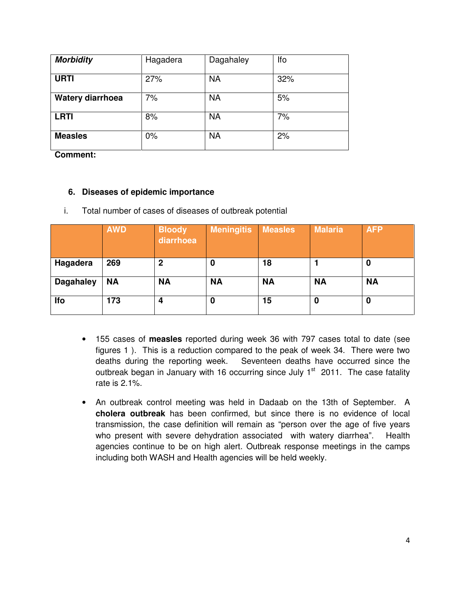| <b>Morbidity</b> | Hagadera | Dagahaley | lfo |
|------------------|----------|-----------|-----|
| <b>URTI</b>      | 27%      | <b>NA</b> | 32% |
| Watery diarrhoea | 7%       | <b>NA</b> | 5%  |
| <b>LRTI</b>      | 8%       | <b>NA</b> | 7%  |
| <b>Measles</b>   | 0%       | <b>NA</b> | 2%  |

**Comment:** 

#### **6. Diseases of epidemic importance**

|                  | <b>AWD</b> | <b>Bloody</b><br>diarrhoea | <b>Meningitis</b> | <b>Measles</b> | <b>Malaria</b> | <b>AFP</b> |
|------------------|------------|----------------------------|-------------------|----------------|----------------|------------|
| Hagadera         | 269        | $\mathbf 2$                |                   | 18             |                | 0          |
| <b>Dagahaley</b> | <b>NA</b>  | <b>NA</b>                  | <b>NA</b>         | <b>NA</b>      | <b>NA</b>      | <b>NA</b>  |
| lfo              | 173        | 4                          | 0                 | 15             | 0              | 0          |

i. Total number of cases of diseases of outbreak potential

- 155 cases of **measles** reported during week 36 with 797 cases total to date (see figures 1 ). This is a reduction compared to the peak of week 34. There were two deaths during the reporting week. Seventeen deaths have occurred since the outbreak began in January with 16 occurring since July  $1<sup>st</sup>$  2011. The case fatality rate is 2.1%.
- An outbreak control meeting was held in Dadaab on the 13th of September. A **cholera outbreak** has been confirmed, but since there is no evidence of local transmission, the case definition will remain as "person over the age of five years who present with severe dehydration associated with watery diarrhea". Health agencies continue to be on high alert. Outbreak response meetings in the camps including both WASH and Health agencies will be held weekly.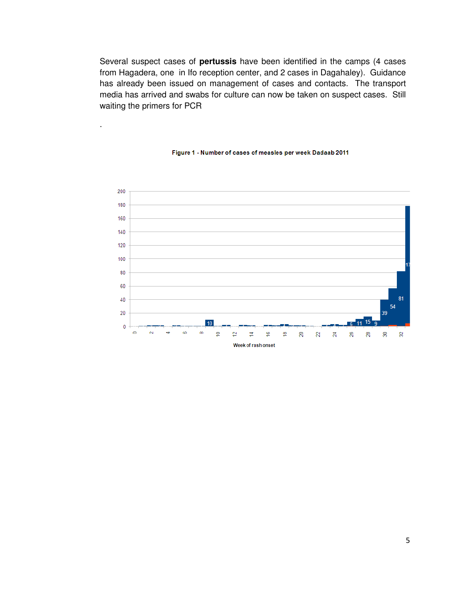Several suspect cases of **pertussis** have been identified in the camps (4 cases from Hagadera, one in Ifo reception center, and 2 cases in Dagahaley). Guidance has already been issued on management of cases and contacts. The transport media has arrived and swabs for culture can now be taken on suspect cases. Still waiting the primers for PCR

.



#### Figure 1 - Number of cases of measles per week Dadaab 2011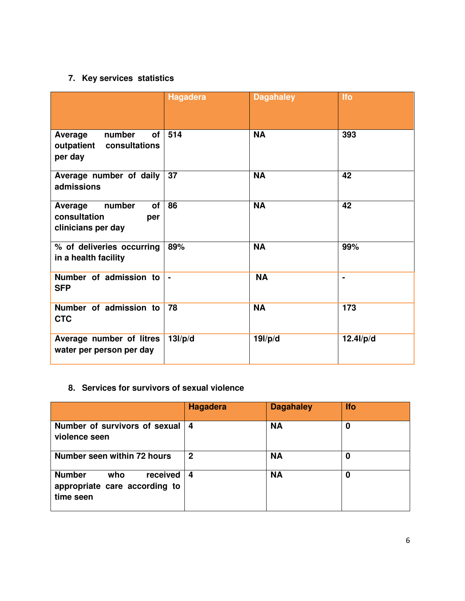# **7. Key services statistics**

|                                                                             | <b>Hagadera</b> | <b>Dagahaley</b> | <b>Ifo</b>     |
|-----------------------------------------------------------------------------|-----------------|------------------|----------------|
| number<br>of <sub>l</sub><br>Average<br>outpatient consultations<br>per day | 514             | <b>NA</b>        | 393            |
| Average number of daily<br>admissions                                       | 37              | <b>NA</b>        | 42             |
| number<br>of<br>Average<br>consultation<br>per<br>clinicians per day        | 86              | <b>NA</b>        | 42             |
| % of deliveries occurring<br>in a health facility                           | 89%             | <b>NA</b>        | 99%            |
| Number of admission to<br><b>SFP</b>                                        | $\blacksquare$  | <b>NA</b>        | $\blacksquare$ |
| Number of admission to<br><b>CTC</b>                                        | 78              | <b>NA</b>        | 173            |
| Average number of litres<br>water per person per day                        | 13I/p/d         | 19I/p/d          | $12.4$ l/p/d   |

### **8. Services for survivors of sexual violence**

|                                                                                | Hagadera | <b>Dagahaley</b> | <b>Ifo</b> |
|--------------------------------------------------------------------------------|----------|------------------|------------|
| Number of survivors of sexual<br>violence seen                                 | 4        | <b>NA</b>        | 0          |
| Number seen within 72 hours                                                    | 2        | <b>NA</b>        | 0          |
| <b>Number</b><br>who<br>received<br>appropriate care according to<br>time seen | 4        | <b>NA</b>        | $\bf{0}$   |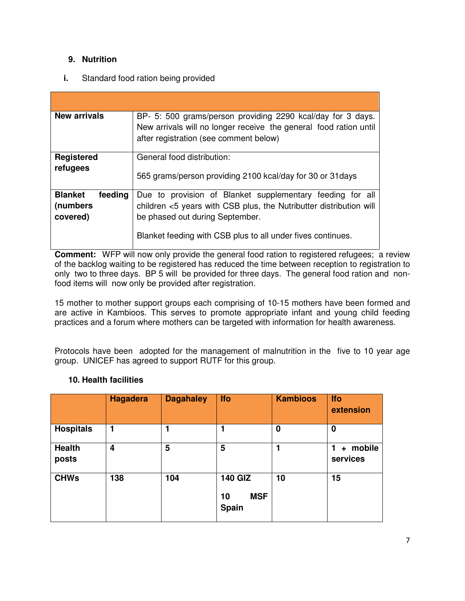#### **9. Nutrition**

#### **i.** Standard food ration being provided

| <b>New arrivals</b> | BP- 5: 500 grams/person providing 2290 kcal/day for 3 days.<br>New arrivals will no longer receive the general food ration until<br>after registration (see comment below) |
|---------------------|----------------------------------------------------------------------------------------------------------------------------------------------------------------------------|
| <b>Registered</b>   | General food distribution:                                                                                                                                                 |
| refugees            | 565 grams/person providing 2100 kcal/day for 30 or 31 days                                                                                                                 |
| <b>Blanket</b>      | Due to provision of Blanket supplementary feeding for all                                                                                                                  |
| feeding             | children <5 years with CSB plus, the Nutributter distribution will                                                                                                         |
| (numbers            | be phased out during September.                                                                                                                                            |
| covered)            | Blanket feeding with CSB plus to all under fives continues.                                                                                                                |

**Comment:** WFP will now only provide the general food ration to registered refugees; a review of the backlog waiting to be registered has reduced the time between reception to registration to only two to three days. BP 5 will be provided for three days. The general food ration and nonfood items will now only be provided after registration.

15 mother to mother support groups each comprising of 10-15 mothers have been formed and are active in Kambioos. This serves to promote appropriate infant and young child feeding practices and a forum where mothers can be targeted with information for health awareness.

Protocols have been adopted for the management of malnutrition in the five to 10 year age group. UNICEF has agreed to support RUTF for this group.

#### **10. Health facilities**

|                        | <b>Hagadera</b> | <b>Dagahaley</b> | <b>Ifo</b>                                  | <b>Kambioos</b> | <b>Ifo</b><br>extension    |
|------------------------|-----------------|------------------|---------------------------------------------|-----------------|----------------------------|
| <b>Hospitals</b>       | 1               |                  | 1                                           | 0               | 0                          |
| <b>Health</b><br>posts | 4               | 5                | 5                                           |                 | + mobile<br>1.<br>services |
| <b>CHWs</b>            | 138             | 104              | <b>140 GIZ</b><br><b>MSF</b><br>10<br>Spain | 10              | 15                         |